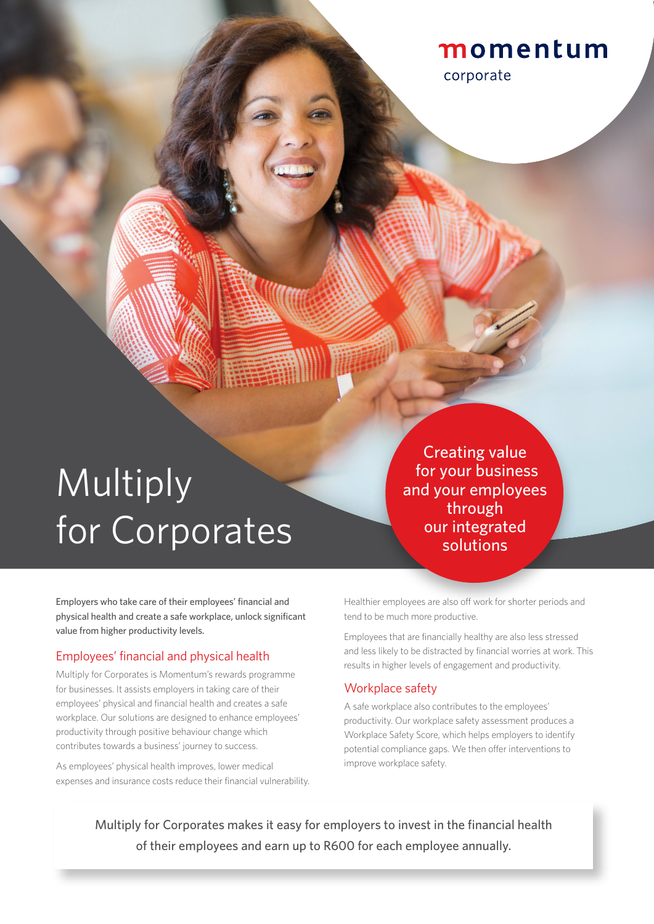### momentum

corporate

## **Multiply** for Corporates

Creating value for your business and your employees through our integrated solutions

Employers who take care of their employees' financial and physical health and create a safe workplace, unlock significant value from higher productivity levels.

#### Employees' financial and physical health

Multiply for Corporates is Momentum's rewards programme for businesses. It assists employers in taking care of their employees' physical and financial health and creates a safe workplace. Our solutions are designed to enhance employees' productivity through positive behaviour change which contributes towards a business' journey to success.

As employees' physical health improves, lower medical expenses and insurance costs reduce their financial vulnerability. Healthier employees are also off work for shorter periods and tend to be much more productive.

Employees that are financially healthy are also less stressed and less likely to be distracted by financial worries at work. This results in higher levels of engagement and productivity.

#### Workplace safety

A safe workplace also contributes to the employees' productivity. Our workplace safety assessment produces a Workplace Safety Score, which helps employers to identify potential compliance gaps. We then offer interventions to improve workplace safety.

Multiply for Corporates makes it easy for employers to invest in the financial health of their employees and earn up to R600 for each employee annually.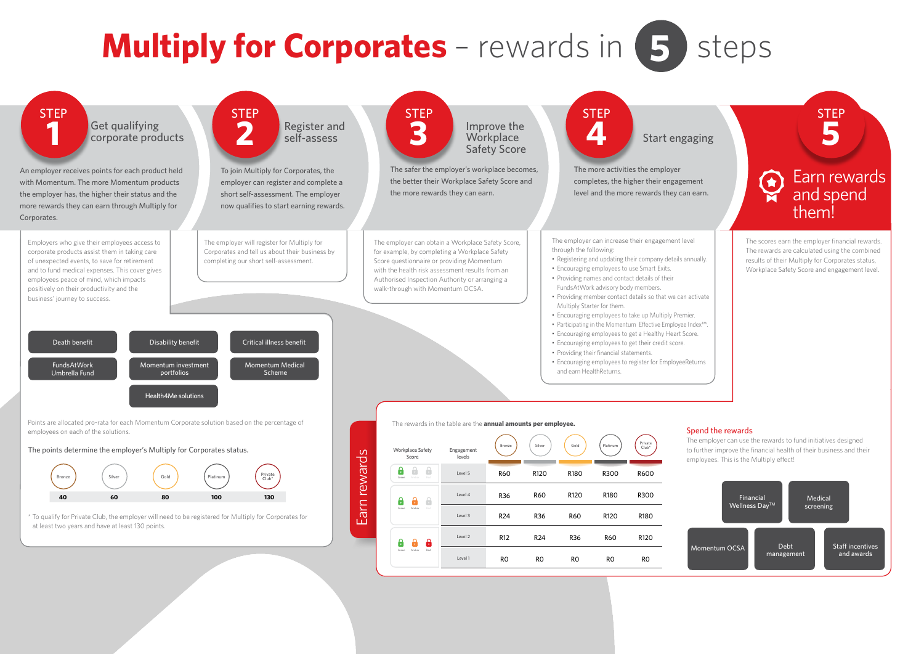# **Multiply for Corporates** – rewards in **5**



## steps